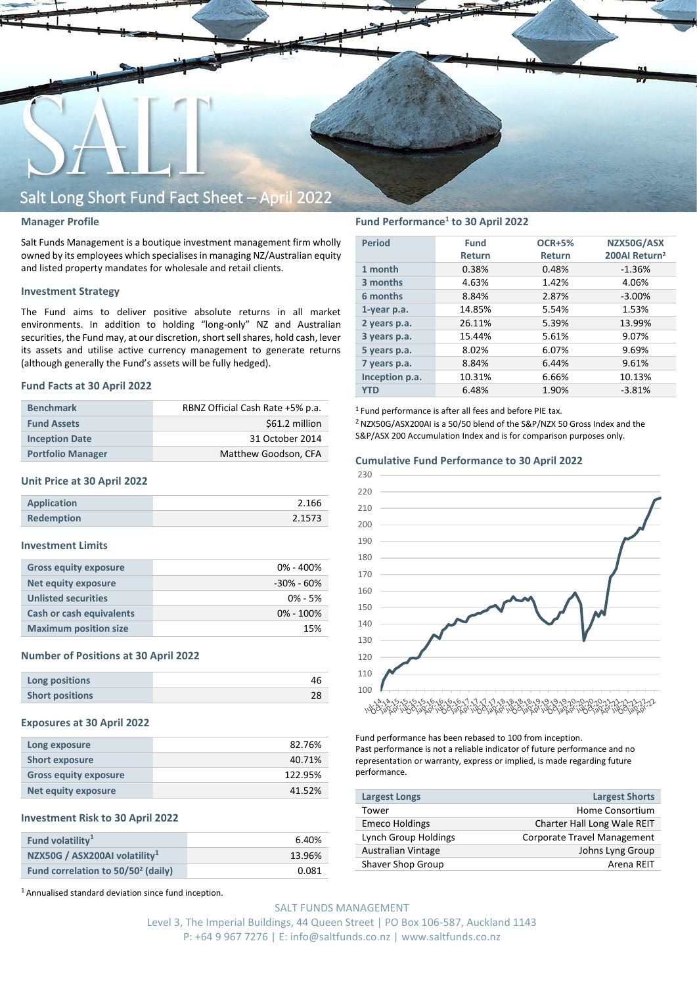

### **Manager Profile**

Salt Funds Management is a boutique investment management firm wholly owned by its employees which specialises in managing NZ/Australian equity and listed property mandates for wholesale and retail clients.

### **Investment Strategy**

The Fund aims to deliver positive absolute returns in all market environments. In addition to holding "long-only" NZ and Australian securities, the Fund may, at our discretion, short sell shares, hold cash, lever its assets and utilise active currency management to generate returns (although generally the Fund's assets will be fully hedged).

### **Fund Facts at 30 April 2022**

| <b>Benchmark</b>         | RBNZ Official Cash Rate +5% p.a. |
|--------------------------|----------------------------------|
| <b>Fund Assets</b>       | \$61.2 million                   |
| <b>Inception Date</b>    | 31 October 2014                  |
| <b>Portfolio Manager</b> | Matthew Goodson, CFA             |

### **Unit Price at 30 April 2022**

| Application       | 2.166  |
|-------------------|--------|
| <b>Redemption</b> | 2.1573 |

### **Investment Limits**

| <b>Gross equity exposure</b> | $0\% - 400\%$ |
|------------------------------|---------------|
| Net equity exposure          | -30% - 60%    |
| <b>Unlisted securities</b>   | $0\% - 5\%$   |
| Cash or cash equivalents     | $0\% - 100\%$ |
| <b>Maximum position size</b> | 15%           |

### **Number of Positions at 30 April 2022**

| Long positions         |  |
|------------------------|--|
| <b>Short positions</b> |  |

### **Exposures at 30 April 2022**

| Long exposure                | 82.76%  |
|------------------------------|---------|
| <b>Short exposure</b>        | 40.71%  |
| <b>Gross equity exposure</b> | 122.95% |
| Net equity exposure          | 41.52%  |

#### **Investment Risk to 30 April 2022**

| Fund volatility <sup>1</sup>                   | 6.40%  |
|------------------------------------------------|--------|
| NZX50G / ASX200AI volatility <sup>1</sup>      | 13.96% |
| Fund correlation to 50/50 <sup>2</sup> (daily) | 0.081  |

<sup>1</sup> Annualised standard deviation since fund inception.

### **Fund Performance<sup>1</sup> to 30 April 2022**

| <b>Period</b>  | <b>Fund</b> | <b>OCR+5%</b> | NZX50G/ASX                |
|----------------|-------------|---------------|---------------------------|
|                | Return      | Return        | 200Al Return <sup>2</sup> |
| 1 month        | 0.38%       | 0.48%         | $-1.36%$                  |
| 3 months       | 4.63%       | 1.42%         | 4.06%                     |
| 6 months       | 8.84%       | 2.87%         | $-3.00%$                  |
| 1-year p.a.    | 14.85%      | 5.54%         | 1.53%                     |
| 2 years p.a.   | 26.11%      | 5.39%         | 13.99%                    |
| 3 years p.a.   | 15.44%      | 5.61%         | 9.07%                     |
| 5 years p.a.   | 8.02%       | 6.07%         | 9.69%                     |
| 7 years p.a.   | 8.84%       | 6.44%         | 9.61%                     |
| Inception p.a. | 10.31%      | 6.66%         | 10.13%                    |
| <b>YTD</b>     | 6.48%       | 1.90%         | $-3.81%$                  |

 $1$  Fund performance is after all fees and before PIE tax.

<sup>2</sup> NZX50G/ASX200AI is a 50/50 blend of the S&P/NZX 50 Gross Index and the S&P/ASX 200 Accumulation Index and is for comparison purposes only.

#### **Cumulative Fund Performance to 30 April 2022**



Fund performance has been rebased to 100 from inception. Past performance is not a reliable indicator of future performance and no representation or warranty, express or implied, is made regarding future performance.

| <b>Largest Longs</b>        | <b>Largest Shorts</b>       |
|-----------------------------|-----------------------------|
| Tower                       | Home Consortium             |
| <b>Emeco Holdings</b>       | Charter Hall Long Wale REIT |
| <b>Lynch Group Holdings</b> | Corporate Travel Management |
| <b>Australian Vintage</b>   | Johns Lyng Group            |
| Shaver Shop Group           | Arena REIT                  |
|                             |                             |

SALT FUNDS MANAGEMENT Level 3, The Imperial Buildings, 44 Queen Street | PO Box 106-587, Auckland 1143 P: +64 9 967 7276 | E: info@saltfunds.co.nz | www.saltfunds.co.nz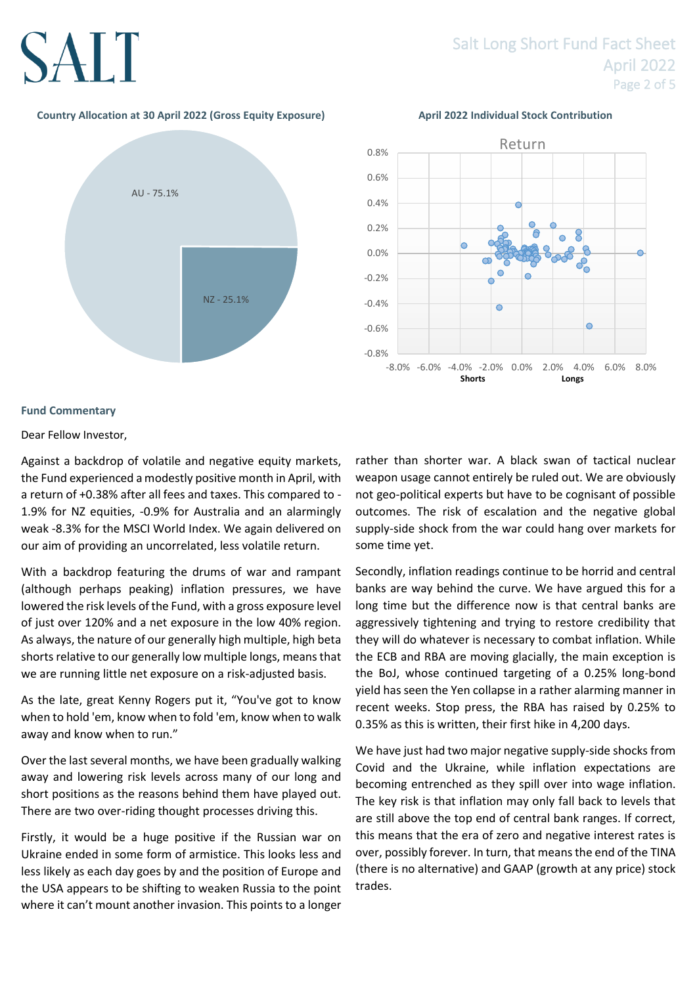### SALT

### **Country Allocation at 30 April 2022 (Gross Equity Exposure) April 2022 Individual Stock Contribution**





### **Fund Commentary**

Dear Fellow Investor,

Against a backdrop of volatile and negative equity markets, the Fund experienced a modestly positive month in April, with a return of +0.38% after all fees and taxes. This compared to - 1.9% for NZ equities, -0.9% for Australia and an alarmingly weak -8.3% for the MSCI World Index. We again delivered on our aim of providing an uncorrelated, less volatile return.

With a backdrop featuring the drums of war and rampant (although perhaps peaking) inflation pressures, we have lowered the risk levels of the Fund, with a gross exposure level of just over 120% and a net exposure in the low 40% region. As always, the nature of our generally high multiple, high beta shorts relative to our generally low multiple longs, means that we are running little net exposure on a risk-adjusted basis.

As the late, great Kenny Rogers put it, "You've got to know when to hold 'em, know when to fold 'em, know when to walk away and know when to run."

Over the last several months, we have been gradually walking away and lowering risk levels across many of our long and short positions as the reasons behind them have played out. There are two over-riding thought processes driving this.

Firstly, it would be a huge positive if the Russian war on Ukraine ended in some form of armistice. This looks less and less likely as each day goes by and the position of Europe and the USA appears to be shifting to weaken Russia to the point where it can't mount another invasion. This points to a longer

rather than shorter war. A black swan of tactical nuclear weapon usage cannot entirely be ruled out. We are obviously not geo-political experts but have to be cognisant of possible outcomes. The risk of escalation and the negative global supply-side shock from the war could hang over markets for some time yet.

Secondly, inflation readings continue to be horrid and central banks are way behind the curve. We have argued this for a long time but the difference now is that central banks are aggressively tightening and trying to restore credibility that they will do whatever is necessary to combat inflation. While the ECB and RBA are moving glacially, the main exception is the BoJ, whose continued targeting of a 0.25% long-bond yield has seen the Yen collapse in a rather alarming manner in recent weeks. Stop press, the RBA has raised by 0.25% to 0.35% as this is written, their first hike in 4,200 days.

We have just had two major negative supply-side shocks from Covid and the Ukraine, while inflation expectations are becoming entrenched as they spill over into wage inflation. The key risk is that inflation may only fall back to levels that are still above the top end of central bank ranges. If correct, this means that the era of zero and negative interest rates is over, possibly forever. In turn, that means the end of the TINA (there is no alternative) and GAAP (growth at any price) stock trades.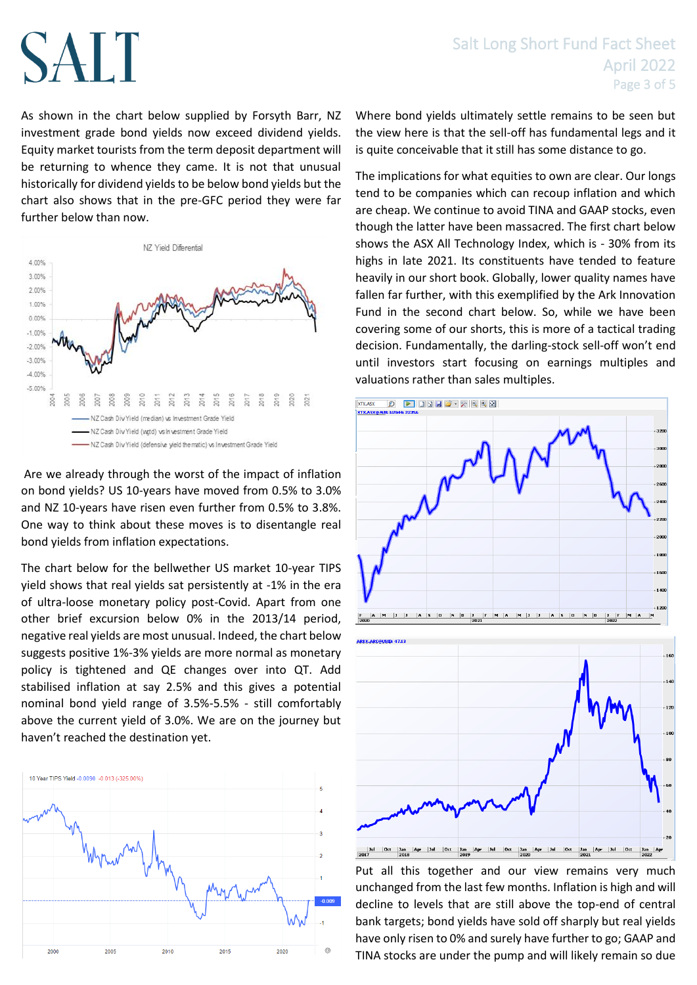# SALT

As shown in the chart below supplied by Forsyth Barr, NZ investment grade bond yields now exceed dividend yields. Equity market tourists from the term deposit department will be returning to whence they came. It is not that unusual historically for dividend yields to be below bond yields but the chart also shows that in the pre-GFC period they were far further below than now.



Are we already through the worst of the impact of inflation on bond yields? US 10-years have moved from 0.5% to 3.0% and NZ 10-years have risen even further from 0.5% to 3.8%. One way to think about these moves is to disentangle real bond yields from inflation expectations.

The chart below for the bellwether US market 10-year TIPS yield shows that real yields sat persistently at -1% in the era of ultra-loose monetary policy post-Covid. Apart from one other brief excursion below 0% in the 2013/14 period, negative real yields are most unusual. Indeed, the chart below suggests positive 1%-3% yields are more normal as monetary policy is tightened and QE changes over into QT. Add stabilised inflation at say 2.5% and this gives a potential nominal bond yield range of 3.5%-5.5% - still comfortably above the current yield of 3.0%. We are on the journey but haven't reached the destination yet.



Where bond yields ultimately settle remains to be seen but the view here is that the sell-off has fundamental legs and it is quite conceivable that it still has some distance to go.

The implications for what equities to own are clear. Our longs tend to be companies which can recoup inflation and which are cheap. We continue to avoid TINA and GAAP stocks, even though the latter have been massacred. The first chart below shows the ASX All Technology Index, which is - 30% from its highs in late 2021. Its constituents have tended to feature heavily in our short book. Globally, lower quality names have fallen far further, with this exemplified by the Ark Innovation Fund in the second chart below. So, while we have been covering some of our shorts, this is more of a tactical trading decision. Fundamentally, the darling-stock sell-off won't end until investors start focusing on earnings multiples and valuations rather than sales multiples.



Put all this together and our view remains very much unchanged from the last few months. Inflation is high and will decline to levels that are still above the top-end of central bank targets; bond yields have sold off sharply but real yields have only risen to 0% and surely have further to go; GAAP and TINA stocks are under the pump and will likely remain so due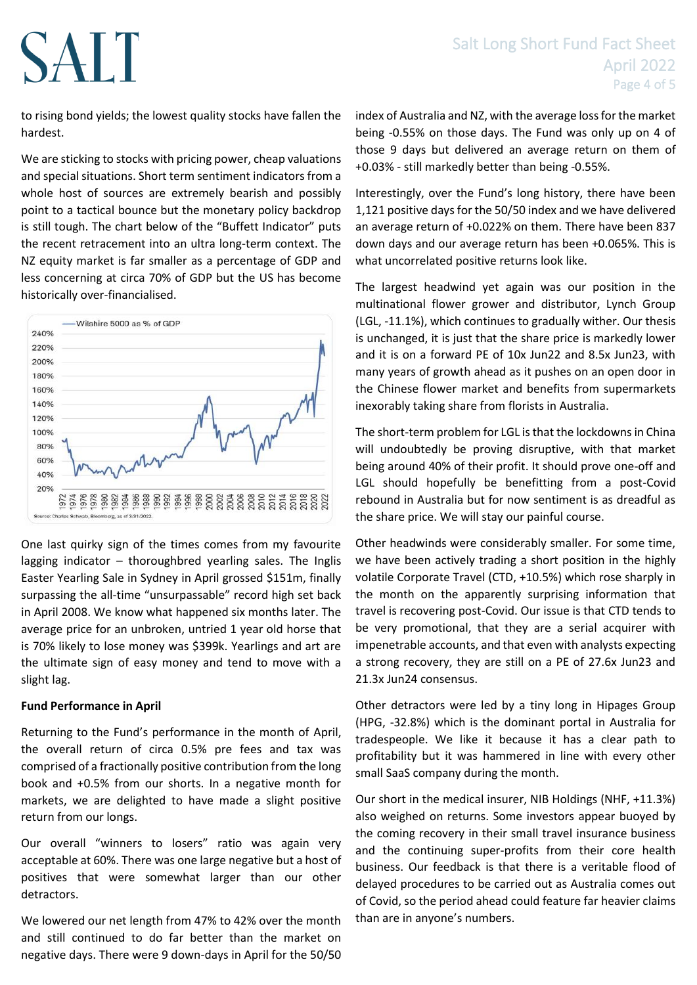### Salt Long Short Fund Fact Sheet April 2022 Page 4 of 5

# **SALT**

to rising bond yields; the lowest quality stocks have fallen the hardest.

We are sticking to stocks with pricing power, cheap valuations and special situations. Short term sentiment indicators from a whole host of sources are extremely bearish and possibly point to a tactical bounce but the monetary policy backdrop is still tough. The chart below of the "Buffett Indicator" puts the recent retracement into an ultra long-term context. The NZ equity market is far smaller as a percentage of GDP and less concerning at circa 70% of GDP but the US has become historically over-financialised.



One last quirky sign of the times comes from my favourite lagging indicator – thoroughbred yearling sales. The Inglis Easter Yearling Sale in Sydney in April grossed \$151m, finally surpassing the all-time "unsurpassable" record high set back in April 2008. We know what happened six months later. The average price for an unbroken, untried 1 year old horse that is 70% likely to lose money was \$399k. Yearlings and art are the ultimate sign of easy money and tend to move with a slight lag.

### **Fund Performance in April**

Returning to the Fund's performance in the month of April, the overall return of circa 0.5% pre fees and tax was comprised of a fractionally positive contribution from the long book and +0.5% from our shorts. In a negative month for markets, we are delighted to have made a slight positive return from our longs.

Our overall "winners to losers" ratio was again very acceptable at 60%. There was one large negative but a host of positives that were somewhat larger than our other detractors.

We lowered our net length from 47% to 42% over the month and still continued to do far better than the market on negative days. There were 9 down-days in April for the 50/50 index of Australia and NZ, with the average loss for the market being -0.55% on those days. The Fund was only up on 4 of those 9 days but delivered an average return on them of +0.03% - still markedly better than being -0.55%.

Interestingly, over the Fund's long history, there have been 1,121 positive days for the 50/50 index and we have delivered an average return of +0.022% on them. There have been 837 down days and our average return has been +0.065%. This is what uncorrelated positive returns look like.

The largest headwind yet again was our position in the multinational flower grower and distributor, Lynch Group (LGL, -11.1%), which continues to gradually wither. Our thesis is unchanged, it is just that the share price is markedly lower and it is on a forward PE of 10x Jun22 and 8.5x Jun23, with many years of growth ahead as it pushes on an open door in the Chinese flower market and benefits from supermarkets inexorably taking share from florists in Australia.

The short-term problem for LGL is that the lockdowns in China will undoubtedly be proving disruptive, with that market being around 40% of their profit. It should prove one-off and LGL should hopefully be benefitting from a post-Covid rebound in Australia but for now sentiment is as dreadful as the share price. We will stay our painful course.

Other headwinds were considerably smaller. For some time, we have been actively trading a short position in the highly volatile Corporate Travel (CTD, +10.5%) which rose sharply in the month on the apparently surprising information that travel is recovering post-Covid. Our issue is that CTD tends to be very promotional, that they are a serial acquirer with impenetrable accounts, and that even with analysts expecting a strong recovery, they are still on a PE of 27.6x Jun23 and 21.3x Jun24 consensus.

Other detractors were led by a tiny long in Hipages Group (HPG, -32.8%) which is the dominant portal in Australia for tradespeople. We like it because it has a clear path to profitability but it was hammered in line with every other small SaaS company during the month.

Our short in the medical insurer, NIB Holdings (NHF, +11.3%) also weighed on returns. Some investors appear buoyed by the coming recovery in their small travel insurance business and the continuing super-profits from their core health business. Our feedback is that there is a veritable flood of delayed procedures to be carried out as Australia comes out of Covid, so the period ahead could feature far heavier claims than are in anyone's numbers.